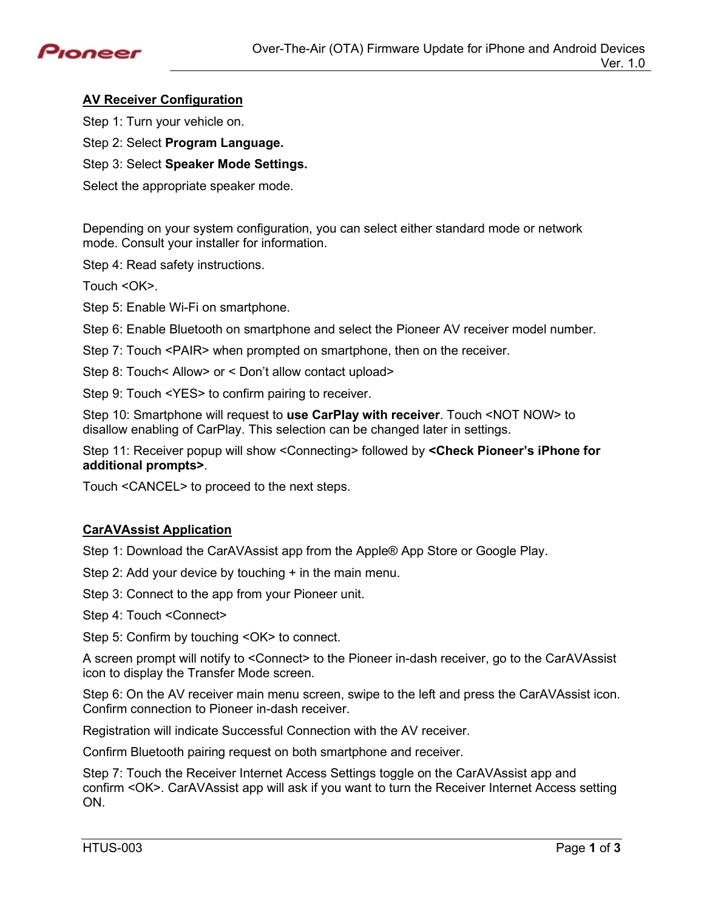

# **AV Receiver Configuration**

Step 1: Turn your vehicle on.

Step 2: Select **Program Language.** 

Step 3: Select **Speaker Mode Settings.**

Select the appropriate speaker mode.

Depending on your system configuration, you can select either standard mode or network mode. Consult your installer for information.

Step 4: Read safety instructions.

Touch <OK>.

Step 5: Enable Wi-Fi on smartphone.

Step 6: Enable Bluetooth on smartphone and select the Pioneer AV receiver model number.

Step 7: Touch <PAIR> when prompted on smartphone, then on the receiver.

Step 8: Touch< Allow> or < Don't allow contact upload>

Step 9: Touch <YES> to confirm pairing to receiver.

Step 10: Smartphone will request to **use CarPlay with receiver**. Touch <NOT NOW> to disallow enabling of CarPlay. This selection can be changed later in settings.

Step 11: Receiver popup will show <Connecting> followed by **<Check Pioneer's iPhone for additional prompts>**.

Touch <CANCEL> to proceed to the next steps.

#### **CarAVAssist Application**

Step 1: Download the CarAVAssist app from the Apple® App Store or Google Play.

Step 2: Add your device by touching + in the main menu.

Step 3: Connect to the app from your Pioneer unit.

Step 4: Touch <Connect>

Step 5: Confirm by touching <OK> to connect.

A screen prompt will notify to <Connect> to the Pioneer in-dash receiver, go to the CarAVAssist icon to display the Transfer Mode screen.

Step 6: On the AV receiver main menu screen, swipe to the left and press the CarAVAssist icon. Confirm connection to Pioneer in-dash receiver.

Registration will indicate Successful Connection with the AV receiver.

Confirm Bluetooth pairing request on both smartphone and receiver.

Step 7: Touch the Receiver Internet Access Settings toggle on the CarAVAssist app and confirm <OK>. CarAVAssist app will ask if you want to turn the Receiver Internet Access setting ON.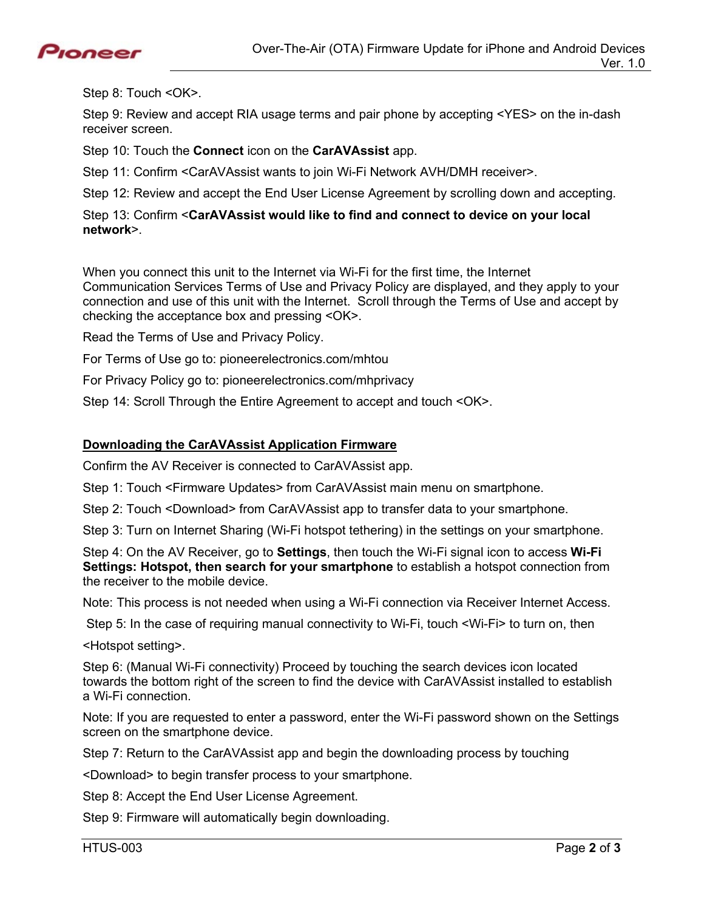

Step 8: Touch <OK>.

Step 9: Review and accept RIA usage terms and pair phone by accepting <YES> on the in-dash receiver screen.

Step 10: Touch the **Connect** icon on the **CarAVAssist** app.

Step 11: Confirm <CarAVAssist wants to join Wi-Fi Network AVH/DMH receiver>.

Step 12: Review and accept the End User License Agreement by scrolling down and accepting.

### Step 13: Confirm <**CarAVAssist would like to find and connect to device on your local network**>.

When you connect this unit to the Internet via Wi-Fi for the first time, the Internet Communication Services Terms of Use and Privacy Policy are displayed, and they apply to your connection and use of this unit with the Internet. Scroll through the Terms of Use and accept by checking the acceptance box and pressing <OK>.

Read the Terms of Use and Privacy Policy.

For Terms of Use go to: pioneerelectronics.com/mhtou

For Privacy Policy go to: pioneerelectronics.com/mhprivacy

Step 14: Scroll Through the Entire Agreement to accept and touch <OK>.

### **Downloading the CarAVAssist Application Firmware**

Confirm the AV Receiver is connected to CarAVAssist app.

Step 1: Touch <Firmware Updates> from CarAVAssist main menu on smartphone.

Step 2: Touch <Download> from CarAVAssist app to transfer data to your smartphone.

Step 3: Turn on Internet Sharing (Wi-Fi hotspot tethering) in the settings on your smartphone.

Step 4: On the AV Receiver, go to **Settings**, then touch the Wi-Fi signal icon to access **Wi-Fi Settings: Hotspot, then search for your smartphone** to establish a hotspot connection from the receiver to the mobile device.

Note: This process is not needed when using a Wi-Fi connection via Receiver Internet Access.

Step 5: In the case of requiring manual connectivity to Wi-Fi, touch <Wi-Fi> to turn on, then

<Hotspot setting>.

Step 6: (Manual Wi-Fi connectivity) Proceed by touching the search devices icon located towards the bottom right of the screen to find the device with CarAVAssist installed to establish a Wi-Fi connection.

Note: If you are requested to enter a password, enter the Wi-Fi password shown on the Settings screen on the smartphone device.

Step 7: Return to the CarAVAssist app and begin the downloading process by touching

<Download> to begin transfer process to your smartphone.

Step 8: Accept the End User License Agreement.

Step 9: Firmware will automatically begin downloading.